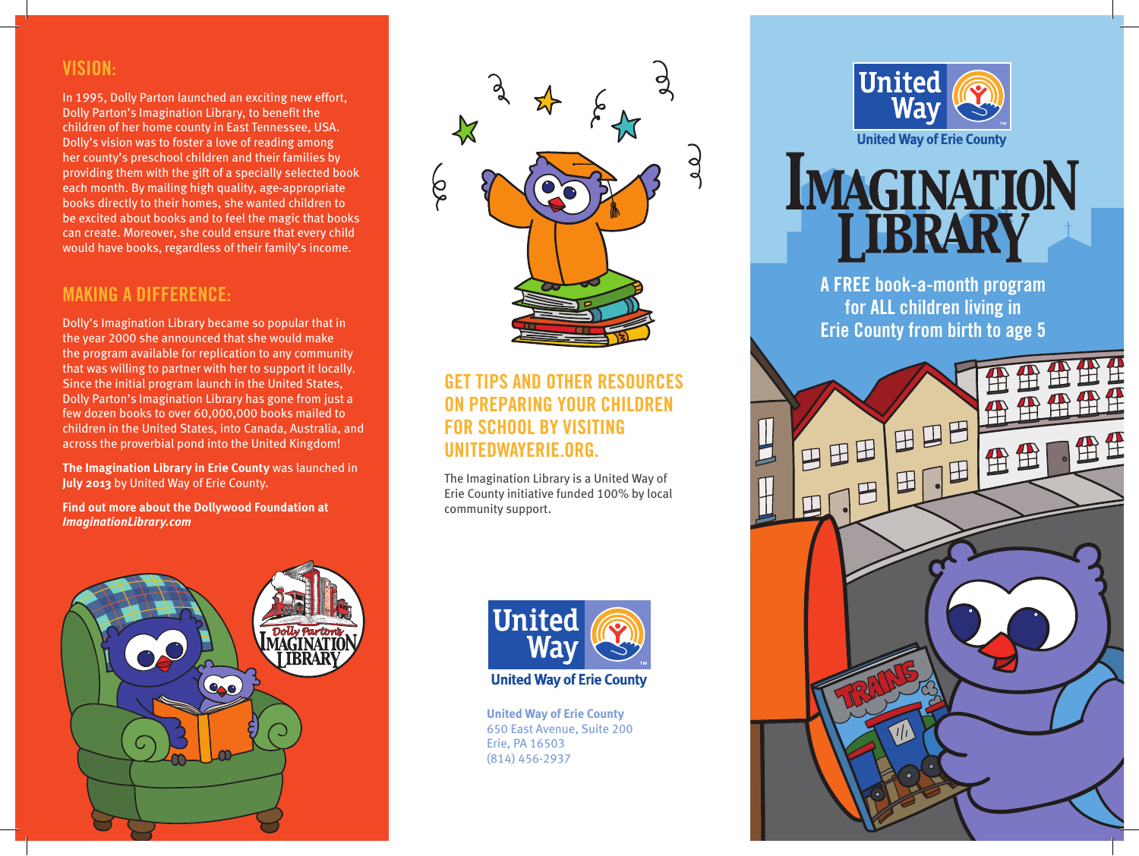#### **VISION:**

In 1995, Dolly Parton launched an exciting new effort, Dolly Parton's Imagination Library, to benefit the children of her home county in East Tennessee, USA. Dolly's vision was to foster a love of reading among her county's preschool children and their families by providing them with the gift of a specially selected book each month. By mailing high quality, age-appropriate books directly to their homes, she wanted children to be excited about books and to feel the magic that books can create. Moreover, she could ensure that every child would have books, regardless of their family's income.

#### **MAKING A DIFFERENCE:**

Dolly's Imagination Library became so popular that in the year 2000 she announced that she would make the program available for replication to any community that was willing to partner with her to support it locally. Since the initial program launch in the United States, Dolly Parton's Imagination Library has gone from just a few dozen books to over 60,000,000 books mailed to children in the United States, into Canada, Australia, and across the proverbial pond into the United Kingdom!

**The Imagination Library in Erie County** was launched in **July 2013** by United Way of Erie County.

**Find out more about the Dollywood Foundation at** *ImaginationLibrary.com*





## **GET TIPS AND OTHER RESOURCES ON PREPARING YOUR CHILDREN FOR SCHOOL BY VISITING UNITEDWAYERIE.ORG.**

The Imagination Library is a United Way of Erie County initiative funded 100% by local community support.



**United Way of Erie County** 650 East Avenue, Suite 200 Erie, PA 16503 (814) 456-2937



**IMAGINATION** I IBRARY

> **A FREE book-a-month program for ALL children living in Erie County from birth to age 5**